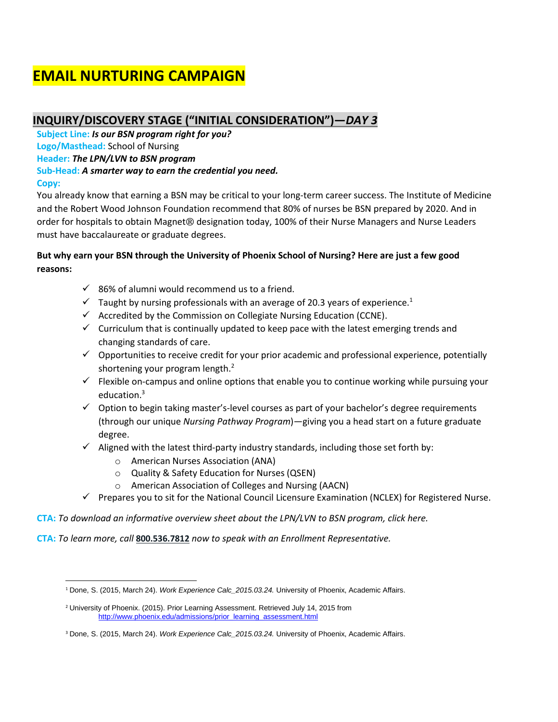# **EMAIL NURTURING CAMPAIGN**

# **INQUIRY/DISCOVERY STAGE ("INITIAL CONSIDERATION")—***DAY 3*

**Subject Line:** *Is our BSN program right for you?*  **Logo/Masthead:** School of Nursing **Header:** *The LPN/LVN to BSN program* **Sub-Head:** *A smarter way to earn the credential you need.* **Copy:**

You already know that earning a BSN may be critical to your long-term career success. The Institute of Medicine and the Robert Wood Johnson Foundation recommend that 80% of nurses be BSN prepared by 2020. And in order for hospitals to obtain Magnet® designation today, 100% of their Nurse Managers and Nurse Leaders must have baccalaureate or graduate degrees.

### **But why earn your BSN through the University of Phoenix School of Nursing? Here are just a few good reasons:**

- $\checkmark$  86% of alumni would recommend us to a friend.
- $\checkmark$  Taught by nursing professionals with an average of 20.3 years of experience.<sup>1</sup>
- $\checkmark$  Accredited by the Commission on Collegiate Nursing Education (CCNE).
- $\checkmark$  Curriculum that is continually updated to keep pace with the latest emerging trends and changing standards of care.
- $\checkmark$  Opportunities to receive credit for your prior academic and professional experience, potentially shortening your program length.<sup>2</sup>
- $\checkmark$  Flexible on-campus and online options that enable you to continue working while pursuing your education.<sup>3</sup>
- $\checkmark$  Option to begin taking master's-level courses as part of your bachelor's degree requirements (through our unique *Nursing Pathway Program*)—giving you a head start on a future graduate degree.
- $\checkmark$  Aligned with the latest third-party industry standards, including those set forth by:
	- o American Nurses Association (ANA)
	- o Quality & Safety Education for Nurses (QSEN)
	- o American Association of Colleges and Nursing (AACN)
- $\checkmark$  Prepares you to sit for the National Council Licensure Examination (NCLEX) for Registered Nurse.
- **CTA:** *To download an informative overview sheet about the LPN/LVN to BSN program, click here.*
- **CTA:** *To learn more, call* **[800.536.7812](tel:+18005367812)** *now to speak with an Enrollment Representative.*

 $\overline{\phantom{a}}$ <sup>1</sup> Done, S. (2015, March 24). *Work Experience Calc\_2015.03.24.* University of Phoenix, Academic Affairs.

<sup>&</sup>lt;sup>2</sup> University of Phoenix. (2015). Prior Learning Assessment. Retrieved July 14, 2015 from [http://www.phoenix.edu/admissions/prior\\_learning\\_assessment.html](http://www.phoenix.edu/admissions/prior_learning_assessment.html)

<sup>3</sup> Done, S. (2015, March 24). *Work Experience Calc\_2015.03.24.* University of Phoenix, Academic Affairs.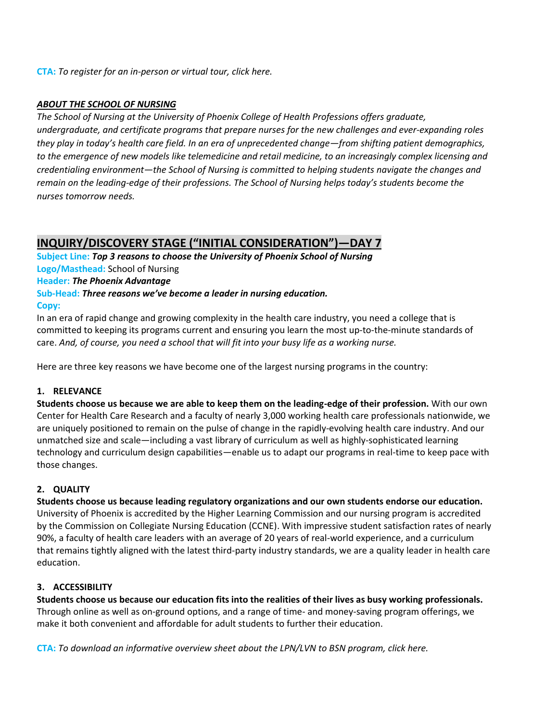#### **CTA:** *To register for an in-person or virtual tour, click here.*

#### *ABOUT THE SCHOOL OF NURSING*

*The School of Nursing at the University of Phoenix College of Health Professions offers graduate, undergraduate, and certificate programs that prepare nurses for the new challenges and ever-expanding roles they play in today's health care field. In an era of unprecedented change—from shifting patient demographics, to the emergence of new models like telemedicine and retail medicine, to an increasingly complex licensing and credentialing environment—the School of Nursing is committed to helping students navigate the changes and remain on the leading-edge of their professions. The School of Nursing helps today's students become the nurses tomorrow needs.* 

# **INQUIRY/DISCOVERY STAGE ("INITIAL CONSIDERATION")—DAY 7**

**Subject Line:** *Top 3 reasons to choose the University of Phoenix School of Nursing* **Logo/Masthead:** School of Nursing **Header:** *The Phoenix Advantage* **Sub-Head:** *Three reasons we've become a leader in nursing education.* **Copy:**

In an era of rapid change and growing complexity in the health care industry, you need a college that is committed to keeping its programs current and ensuring you learn the most up-to-the-minute standards of care. *And, of course, you need a school that will fit into your busy life as a working nurse.*

Here are three key reasons we have become one of the largest nursing programs in the country:

### **1. RELEVANCE**

**Students choose us because we are able to keep them on the leading-edge of their profession.** With our own Center for Health Care Research and a faculty of nearly 3,000 working health care professionals nationwide, we are uniquely positioned to remain on the pulse of change in the rapidly-evolving health care industry. And our unmatched size and scale—including a vast library of curriculum as well as highly-sophisticated learning technology and curriculum design capabilities—enable us to adapt our programs in real-time to keep pace with those changes.

### **2. QUALITY**

**Students choose us because leading regulatory organizations and our own students endorse our education.** University of Phoenix is accredited by the Higher Learning Commission and our nursing program is accredited by the Commission on Collegiate Nursing Education (CCNE). With impressive student satisfaction rates of nearly 90%, a faculty of health care leaders with an average of 20 years of real-world experience, and a curriculum that remains tightly aligned with the latest third-party industry standards, we are a quality leader in health care education.

#### **3. ACCESSIBILITY**

**Students choose us because our education fits into the realities of their lives as busy working professionals.**  Through online as well as on-ground options, and a range of time- and money-saving program offerings, we make it both convenient and affordable for adult students to further their education.

**CTA:** *To download an informative overview sheet about the LPN/LVN to BSN program, click here.*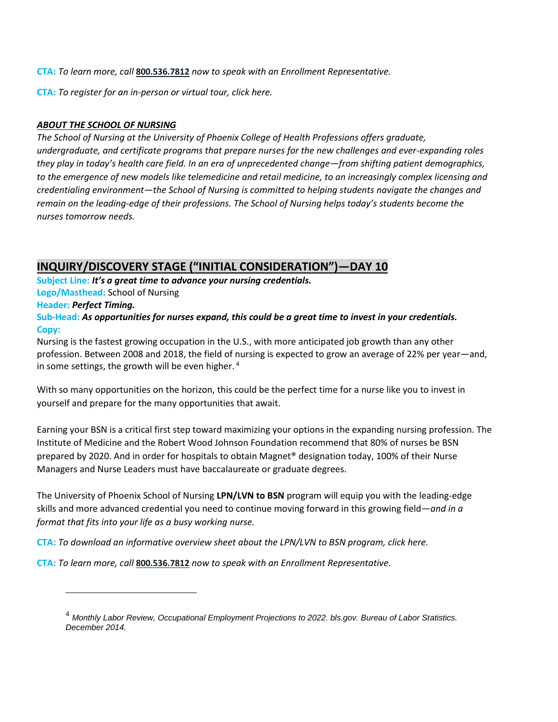**CTA:** *To learn more, call* **[800.536.7812](tel:+18005367812)** *now to speak with an Enrollment Representative.* 

**CTA:** *To register for an in-person or virtual tour, click here.* 

### *ABOUT THE SCHOOL OF NURSING*

*The School of Nursing at the University of Phoenix College of Health Professions offers graduate, undergraduate, and certificate programs that prepare nurses for the new challenges and ever-expanding roles they play in today's health care field. In an era of unprecedented change—from shifting patient demographics, to the emergence of new models like telemedicine and retail medicine, to an increasingly complex licensing and credentialing environment—the School of Nursing is committed to helping students navigate the changes and remain on the leading-edge of their professions. The School of Nursing helps today's students become the nurses tomorrow needs.* 

# **INQUIRY/DISCOVERY STAGE ("INITIAL CONSIDERATION")—DAY 10**

**Subject Line:** *It's a great time to advance your nursing credentials.* **Logo/Masthead:** School of Nursing

**Header:** *Perfect Timing.*

 $\overline{\phantom{a}}$ 

**Sub-Head:** *As opportunities for nurses expand, this could be a great time to invest in your credentials.* **Copy:**

Nursing is the fastest growing occupation in the U.S., with more anticipated job growth than any other profession. Between 2008 and 2018, the field of nursing is expected to grow an average of 22% per year—and, in some settings, the growth will be even higher. <sup>4</sup>

With so many opportunities on the horizon, this could be the perfect time for a nurse like you to invest in yourself and prepare for the many opportunities that await.

Earning your BSN is a critical first step toward maximizing your options in the expanding nursing profession. The Institute of Medicine and the Robert Wood Johnson Foundation recommend that 80% of nurses be BSN prepared by 2020. And in order for hospitals to obtain Magnet® designation today, 100% of their Nurse Managers and Nurse Leaders must have baccalaureate or graduate degrees.

The University of Phoenix School of Nursing **LPN/LVN to BSN** program will equip you with the leading-edge skills and more advanced credential you need to continue moving forward in this growing field—*and in a format that fits into your life as a busy working nurse.* 

**CTA:** *To download an informative overview sheet about the LPN/LVN to BSN program, click here.* 

**CTA:** *To learn more, call* **[800.536.7812](tel:+18005367812)** *now to speak with an Enrollment Representative.* 

<sup>4</sup> *Monthly Labor Review, Occupational Employment Projections to 2022. bls.gov. Bureau of Labor Statistics. December 2014.*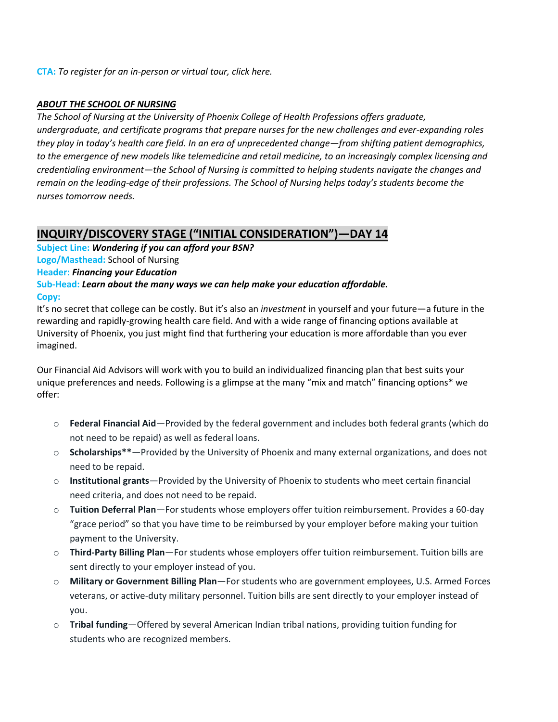### *ABOUT THE SCHOOL OF NURSING*

*The School of Nursing at the University of Phoenix College of Health Professions offers graduate, undergraduate, and certificate programs that prepare nurses for the new challenges and ever-expanding roles they play in today's health care field. In an era of unprecedented change—from shifting patient demographics, to the emergence of new models like telemedicine and retail medicine, to an increasingly complex licensing and credentialing environment—the School of Nursing is committed to helping students navigate the changes and remain on the leading-edge of their professions. The School of Nursing helps today's students become the nurses tomorrow needs.* 

### **INQUIRY/DISCOVERY STAGE ("INITIAL CONSIDERATION")—DAY 14**

**Subject Line:** *Wondering if you can afford your BSN?*  **Logo/Masthead:** School of Nursing **Header:** *Financing your Education* **Sub-Head:** *Learn about the many ways we can help make your education affordable.*  **Copy:**

It's no secret that college can be costly. But it's also an *investment* in yourself and your future—a future in the rewarding and rapidly-growing health care field. And with a wide range of financing options available at University of Phoenix, you just might find that furthering your education is more affordable than you ever imagined.

Our Financial Aid Advisors will work with you to build an individualized financing plan that best suits your unique preferences and needs. Following is a glimpse at the many "mix and match" financing options\* we offer:

- o **Federal Financial Aid**—Provided by the federal government and includes both federal grants (which do not need to be repaid) as well as federal loans.
- o **Scholarships\*\***—Provided by the University of Phoenix and many external organizations, and does not need to be repaid.
- o **Institutional grants**—Provided by the University of Phoenix to students who meet certain financial need criteria, and does not need to be repaid.
- o **Tuition Deferral Plan**—For students whose employers offer tuition reimbursement. Provides a 60-day "grace period" so that you have time to be reimbursed by your employer before making your tuition payment to the University.
- o **Third-Party Billing Plan**—For students whose employers offer tuition reimbursement. Tuition bills are sent directly to your employer instead of you.
- o **Military or Government Billing Plan**—For students who are government employees, U.S. Armed Forces veterans, or active-duty military personnel. Tuition bills are sent directly to your employer instead of you.
- o **Tribal funding**—Offered by several American Indian tribal nations, providing tuition funding for students who are recognized members.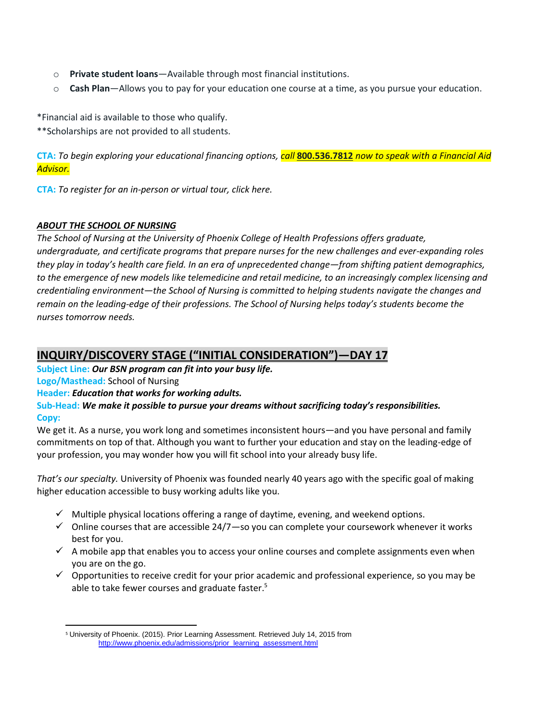- o **Private student loans**—Available through most financial institutions.
- o **Cash Plan**—Allows you to pay for your education one course at a time, as you pursue your education.

\*Financial aid is available to those who qualify.

\*\*Scholarships are not provided to all students.

**CTA:** *To begin exploring your educational financing options, call* **[800.536.7812](tel:+18005367812)** *now to speak with a Financial Aid Advisor.*

**CTA:** *To register for an in-person or virtual tour, click here.* 

#### *ABOUT THE SCHOOL OF NURSING*

*The School of Nursing at the University of Phoenix College of Health Professions offers graduate, undergraduate, and certificate programs that prepare nurses for the new challenges and ever-expanding roles they play in today's health care field. In an era of unprecedented change—from shifting patient demographics, to the emergence of new models like telemedicine and retail medicine, to an increasingly complex licensing and credentialing environment—the School of Nursing is committed to helping students navigate the changes and remain on the leading-edge of their professions. The School of Nursing helps today's students become the nurses tomorrow needs.* 

### **INQUIRY/DISCOVERY STAGE ("INITIAL CONSIDERATION")—DAY 17**

**Subject Line:** *Our BSN program can fit into your busy life.* 

### **Logo/Masthead:** School of Nursing

 $\overline{\phantom{a}}$ 

### **Header:** *Education that works for working adults.*

**Sub-Head:** *We make it possible to pursue your dreams without sacrificing today's responsibilities.* **Copy:**

We get it. As a nurse, you work long and sometimes inconsistent hours—and you have personal and family commitments on top of that. Although you want to further your education and stay on the leading-edge of your profession, you may wonder how you will fit school into your already busy life.

*That's our specialty.* University of Phoenix was founded nearly 40 years ago with the specific goal of making higher education accessible to busy working adults like you.

- $\checkmark$  Multiple physical locations offering a range of daytime, evening, and weekend options.
- $\checkmark$  Online courses that are accessible 24/7—so you can complete your coursework whenever it works best for you.
- $\checkmark$  A mobile app that enables you to access your online courses and complete assignments even when you are on the go.
- $\checkmark$  Opportunities to receive credit for your prior academic and professional experience, so you may be able to take fewer courses and graduate faster.<sup>5</sup>

<sup>5</sup> University of Phoenix. (2015). Prior Learning Assessment. Retrieved July 14, 2015 from [http://www.phoenix.edu/admissions/prior\\_learning\\_assessment.html](http://www.phoenix.edu/admissions/prior_learning_assessment.html)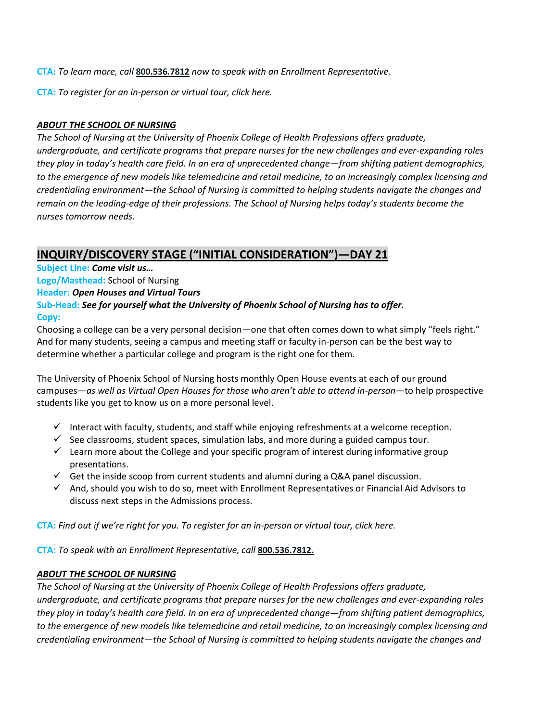**CTA:** *To learn more, call* **[800.536.7812](tel:+18005367812)** *now to speak with an Enrollment Representative.* 

**CTA:** *To register for an in-person or virtual tour, click here.* 

### *ABOUT THE SCHOOL OF NURSING*

*The School of Nursing at the University of Phoenix College of Health Professions offers graduate, undergraduate, and certificate programs that prepare nurses for the new challenges and ever-expanding roles they play in today's health care field. In an era of unprecedented change—from shifting patient demographics, to the emergence of new models like telemedicine and retail medicine, to an increasingly complex licensing and credentialing environment—the School of Nursing is committed to helping students navigate the changes and remain on the leading-edge of their professions. The School of Nursing helps today's students become the nurses tomorrow needs.* 

## **INQUIRY/DISCOVERY STAGE ("INITIAL CONSIDERATION")—DAY 21**

**Subject Line:** *Come visit us…*

**Logo/Masthead:** School of Nursing

**Header:** *Open Houses and Virtual Tours*

#### **Sub-Head:** *See for yourself what the University of Phoenix School of Nursing has to offer.*  **Copy:**

Choosing a college can be a very personal decision—one that often comes down to what simply "feels right." And for many students, seeing a campus and meeting staff or faculty in-person can be the best way to determine whether a particular college and program is the right one for them.

The University of Phoenix School of Nursing hosts monthly Open House events at each of our ground campuses—*as well as Virtual Open Houses for those who aren't able to attend in-person—*to help prospective students like you get to know us on a more personal level.

- Interact with faculty, students, and staff while enjoying refreshments at a welcome reception.
- $\checkmark$  See classrooms, student spaces, simulation labs, and more during a guided campus tour.
- $\checkmark$  Learn more about the College and your specific program of interest during informative group presentations.
- $\checkmark$  Get the inside scoop from current students and alumni during a Q&A panel discussion.
- $\checkmark$  And, should you wish to do so, meet with Enrollment Representatives or Financial Aid Advisors to discuss next steps in the Admissions process.

**CTA:** *Find out if we're right for you. To register for an in-person or virtual tour, click here.*

**CTA:** *To speak with an Enrollment Representative, call* **[800.536.7812.](tel:+18005367812)**

### *ABOUT THE SCHOOL OF NURSING*

*The School of Nursing at the University of Phoenix College of Health Professions offers graduate, undergraduate, and certificate programs that prepare nurses for the new challenges and ever-expanding roles they play in today's health care field. In an era of unprecedented change—from shifting patient demographics, to the emergence of new models like telemedicine and retail medicine, to an increasingly complex licensing and credentialing environment—the School of Nursing is committed to helping students navigate the changes and*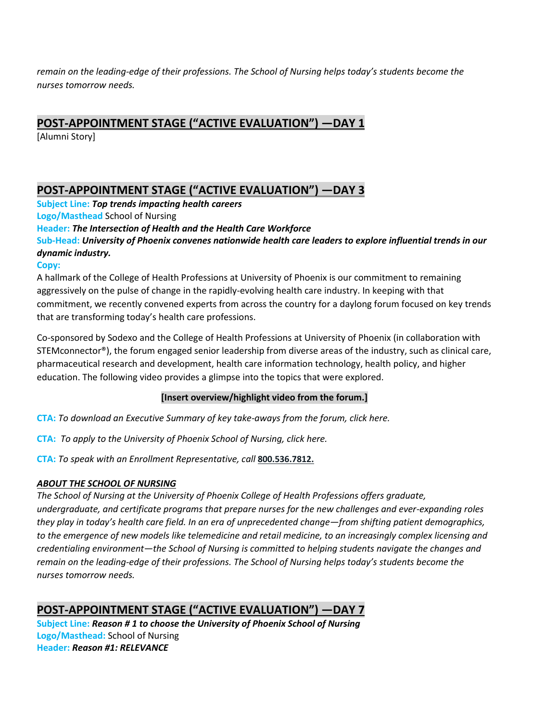*remain on the leading-edge of their professions. The School of Nursing helps today's students become the nurses tomorrow needs.* 

# **POST-APPOINTMENT STAGE ("ACTIVE EVALUATION") —DAY 1**

[Alumni Story]

# **POST-APPOINTMENT STAGE ("ACTIVE EVALUATION") —DAY 3**

**Subject Line:** *Top trends impacting health careers* **Logo/Masthead** School of Nursing

**Header:** *The Intersection of Health and the Health Care Workforce* **Sub-Head:** *University of Phoenix convenes nationwide health care leaders to explore influential trends in our dynamic industry.* 

### **Copy:**

A hallmark of the College of Health Professions at University of Phoenix is our commitment to remaining aggressively on the pulse of change in the rapidly-evolving health care industry. In keeping with that commitment, we recently convened experts from across the country for a daylong forum focused on key trends that are transforming today's health care professions.

Co-sponsored by Sodexo and the College of Health Professions at University of Phoenix (in collaboration with STEMconnector®), the forum engaged senior leadership from diverse areas of the industry, such as clinical care, pharmaceutical research and development, health care information technology, health policy, and higher education. The following video provides a glimpse into the topics that were explored.

### **[Insert overview/highlight video from the forum.]**

**CTA:** *To download an Executive Summary of key take-aways from the forum, click here.* 

**CTA:** *To apply to the University of Phoenix School of Nursing, click here.* 

**CTA:** *To speak with an Enrollment Representative, call* **[800.536.7812.](tel:+18005367812)**

### *ABOUT THE SCHOOL OF NURSING*

*The School of Nursing at the University of Phoenix College of Health Professions offers graduate, undergraduate, and certificate programs that prepare nurses for the new challenges and ever-expanding roles they play in today's health care field. In an era of unprecedented change—from shifting patient demographics, to the emergence of new models like telemedicine and retail medicine, to an increasingly complex licensing and credentialing environment—the School of Nursing is committed to helping students navigate the changes and remain on the leading-edge of their professions. The School of Nursing helps today's students become the nurses tomorrow needs.* 

# **POST-APPOINTMENT STAGE ("ACTIVE EVALUATION") —DAY 7**

**Subject Line:** *Reason # 1 to choose the University of Phoenix School of Nursing* **Logo/Masthead:** School of Nursing **Header:** *Reason #1: RELEVANCE*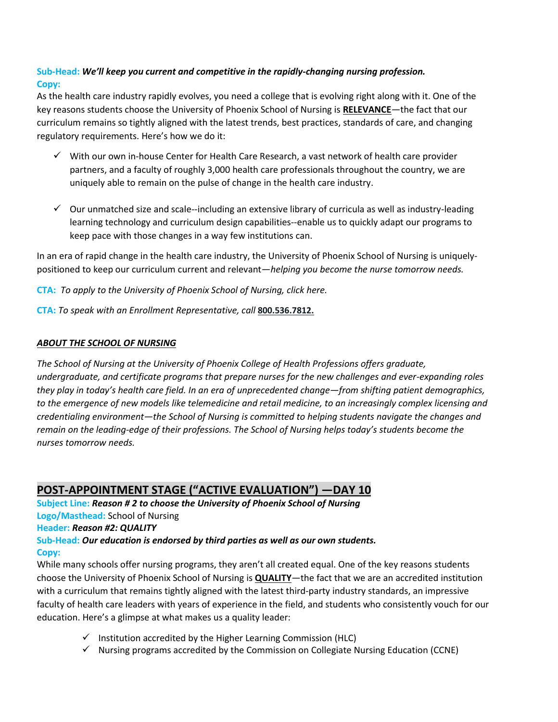### **Sub-Head:** *We'll keep you current and competitive in the rapidly-changing nursing profession.* **Copy:**

As the health care industry rapidly evolves, you need a college that is evolving right along with it. One of the key reasons students choose the University of Phoenix School of Nursing is **RELEVANCE**—the fact that our curriculum remains so tightly aligned with the latest trends, best practices, standards of care, and changing regulatory requirements. Here's how we do it:

- $\checkmark$  With our own in-house Center for Health Care Research, a vast network of health care provider partners, and a faculty of roughly 3,000 health care professionals throughout the country, we are uniquely able to remain on the pulse of change in the health care industry.
- $\checkmark$  Our unmatched size and scale--including an extensive library of curricula as well as industry-leading learning technology and curriculum design capabilities--enable us to quickly adapt our programs to keep pace with those changes in a way few institutions can.

In an era of rapid change in the health care industry, the University of Phoenix School of Nursing is uniquelypositioned to keep our curriculum current and relevant—*helping you become the nurse tomorrow needs.* 

**CTA:** *To apply to the University of Phoenix School of Nursing, click here.* 

**CTA:** *To speak with an Enrollment Representative, call* **[800.536.7812.](tel:+18005367812)**

### *ABOUT THE SCHOOL OF NURSING*

*The School of Nursing at the University of Phoenix College of Health Professions offers graduate, undergraduate, and certificate programs that prepare nurses for the new challenges and ever-expanding roles they play in today's health care field. In an era of unprecedented change—from shifting patient demographics, to the emergence of new models like telemedicine and retail medicine, to an increasingly complex licensing and credentialing environment—the School of Nursing is committed to helping students navigate the changes and remain on the leading-edge of their professions. The School of Nursing helps today's students become the nurses tomorrow needs.* 

# **POST-APPOINTMENT STAGE ("ACTIVE EVALUATION") —DAY 10**

**Subject Line:** *Reason # 2 to choose the University of Phoenix School of Nursing* **Logo/Masthead:** School of Nursing **Header:** *Reason #2: QUALITY* **Sub-Head:** *Our education is endorsed by third parties as well as our own students.* 

### **Copy:**

While many schools offer nursing programs, they aren't all created equal. One of the key reasons students choose the University of Phoenix School of Nursing is **QUALITY**—the fact that we are an accredited institution with a curriculum that remains tightly aligned with the latest third-party industry standards, an impressive faculty of health care leaders with years of experience in the field, and students who consistently vouch for our education. Here's a glimpse at what makes us a quality leader:

- $\checkmark$  Institution accredited by the Higher Learning Commission (HLC)
- $\checkmark$  Nursing programs accredited by the Commission on Collegiate Nursing Education (CCNE)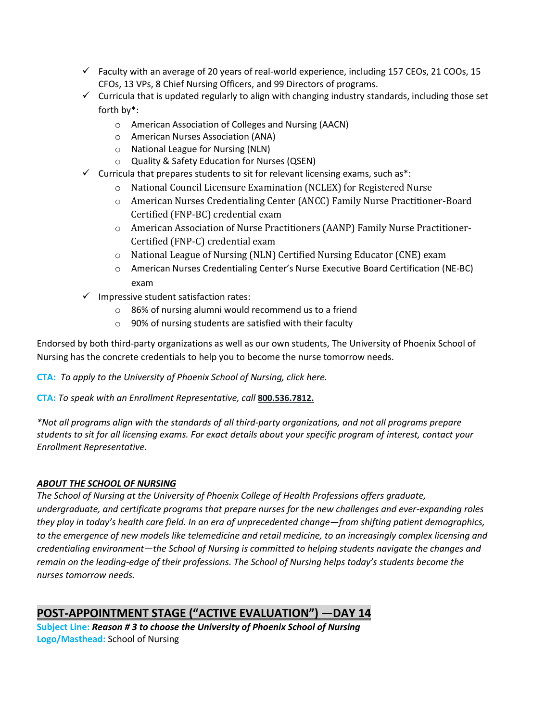- $\checkmark$  Faculty with an average of 20 years of real-world experience, including 157 CEOs, 21 COOs, 15 CFOs, 13 VPs, 8 Chief Nursing Officers, and 99 Directors of programs.
- $\checkmark$  Curricula that is updated regularly to align with changing industry standards, including those set forth by\*:
	- o American Association of Colleges and Nursing (AACN)
	- o American Nurses Association (ANA)
	- o National League for Nursing (NLN)
	- o Quality & Safety Education for Nurses (QSEN)
- $\checkmark$  Curricula that prepares students to sit for relevant licensing exams, such as\*:
	- o National Council Licensure Examination (NCLEX) for Registered Nurse
	- o American Nurses Credentialing Center (ANCC) Family Nurse Practitioner-Board Certified (FNP-BC) credential exam
	- o American Association of Nurse Practitioners (AANP) Family Nurse Practitioner-Certified (FNP-C) credential exam
	- o National League of Nursing (NLN) Certified Nursing Educator (CNE) exam
	- o American Nurses Credentialing Center's Nurse Executive Board Certification (NE-BC) exam
- $\checkmark$  Impressive student satisfaction rates:
	- o 86% of nursing alumni would recommend us to a friend
	- o 90% of nursing students are satisfied with their faculty

Endorsed by both third-party organizations as well as our own students, The University of Phoenix School of Nursing has the concrete credentials to help you to become the nurse tomorrow needs.

**CTA:** *To apply to the University of Phoenix School of Nursing, click here.* 

**CTA:** *To speak with an Enrollment Representative, call* **[800.536.7812.](tel:+18005367812)**

*\*Not all programs align with the standards of all third-party organizations, and not all programs prepare students to sit for all licensing exams. For exact details about your specific program of interest, contact your Enrollment Representative.* 

### *ABOUT THE SCHOOL OF NURSING*

*The School of Nursing at the University of Phoenix College of Health Professions offers graduate, undergraduate, and certificate programs that prepare nurses for the new challenges and ever-expanding roles they play in today's health care field. In an era of unprecedented change—from shifting patient demographics, to the emergence of new models like telemedicine and retail medicine, to an increasingly complex licensing and credentialing environment—the School of Nursing is committed to helping students navigate the changes and remain on the leading-edge of their professions. The School of Nursing helps today's students become the nurses tomorrow needs.* 

# **POST-APPOINTMENT STAGE ("ACTIVE EVALUATION") —DAY 14**

**Subject Line:** *Reason # 3 to choose the University of Phoenix School of Nursing* **Logo/Masthead:** School of Nursing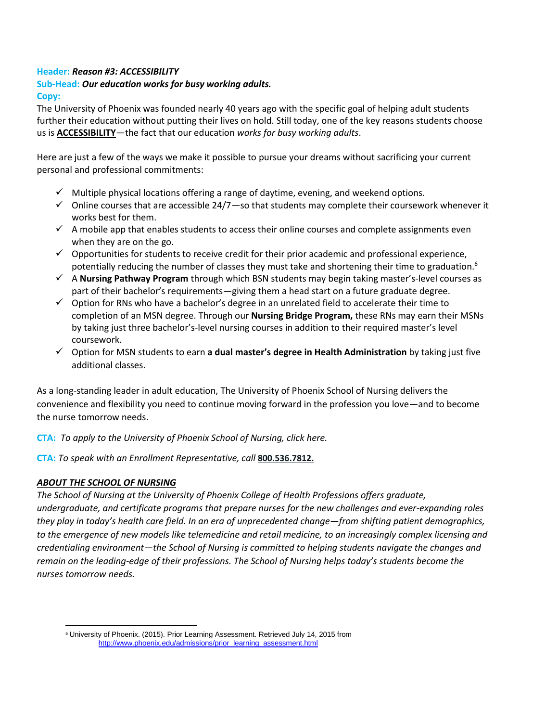#### **Header:** *Reason #3: ACCESSIBILITY*

# **Sub-Head:** *Our education works for busy working adults.*

**Copy:**

The University of Phoenix was founded nearly 40 years ago with the specific goal of helping adult students further their education without putting their lives on hold. Still today, one of the key reasons students choose us is **ACCESSIBILITY**—the fact that our education *works for busy working adults*.

Here are just a few of the ways we make it possible to pursue your dreams without sacrificing your current personal and professional commitments:

- $\checkmark$  Multiple physical locations offering a range of daytime, evening, and weekend options.
- $\checkmark$  Online courses that are accessible 24/7-so that students may complete their coursework whenever it works best for them.
- $\checkmark$  A mobile app that enables students to access their online courses and complete assignments even when they are on the go.
- $\checkmark$  Opportunities for students to receive credit for their prior academic and professional experience, potentially reducing the number of classes they must take and shortening their time to graduation.<sup>6</sup>
- A **Nursing Pathway Program** through which BSN students may begin taking master's-level courses as part of their bachelor's requirements—giving them a head start on a future graduate degree.
- $\checkmark$  Option for RNs who have a bachelor's degree in an unrelated field to accelerate their time to completion of an MSN degree. Through our **Nursing Bridge Program,** these RNs may earn their MSNs by taking just three bachelor's-level nursing courses in addition to their required master's level coursework.
- Option for MSN students to earn **a dual master's degree in Health Administration** by taking just five additional classes.

As a long-standing leader in adult education, The University of Phoenix School of Nursing delivers the convenience and flexibility you need to continue moving forward in the profession you love—and to become the nurse tomorrow needs.

**CTA:** *To apply to the University of Phoenix School of Nursing, click here.* 

**CTA:** *To speak with an Enrollment Representative, call* **[800.536.7812.](tel:+18005367812)**

### *ABOUT THE SCHOOL OF NURSING*

 $\overline{\phantom{a}}$ 

*The School of Nursing at the University of Phoenix College of Health Professions offers graduate, undergraduate, and certificate programs that prepare nurses for the new challenges and ever-expanding roles they play in today's health care field. In an era of unprecedented change—from shifting patient demographics, to the emergence of new models like telemedicine and retail medicine, to an increasingly complex licensing and credentialing environment—the School of Nursing is committed to helping students navigate the changes and remain on the leading-edge of their professions. The School of Nursing helps today's students become the nurses tomorrow needs.* 

<sup>6</sup> University of Phoenix. (2015). Prior Learning Assessment. Retrieved July 14, 2015 from [http://www.phoenix.edu/admissions/prior\\_learning\\_assessment.html](http://www.phoenix.edu/admissions/prior_learning_assessment.html)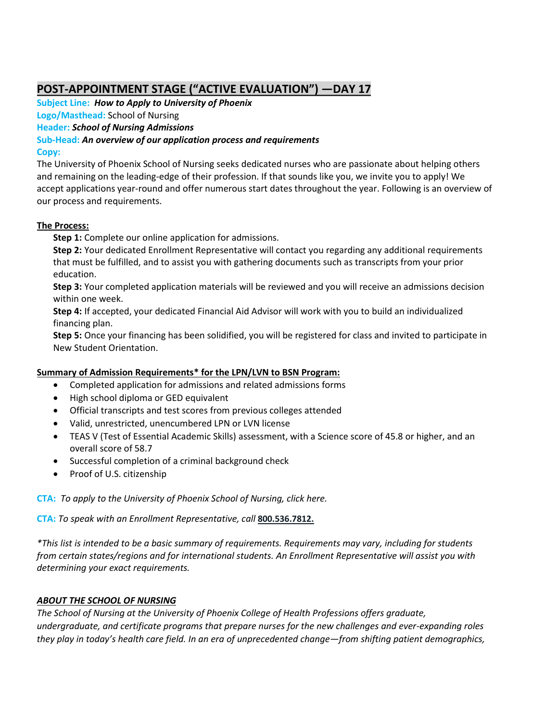# **POST-APPOINTMENT STAGE ("ACTIVE EVALUATION") —DAY 17**

**Subject Line:** *How to Apply to University of Phoenix*

**Logo/Masthead:** School of Nursing

**Header:** *School of Nursing Admissions*

**Sub-Head:** *An overview of our application process and requirements* 

### **Copy:**

The University of Phoenix School of Nursing seeks dedicated nurses who are passionate about helping others and remaining on the leading-edge of their profession. If that sounds like you, we invite you to apply! We accept applications year-round and offer numerous start dates throughout the year. Following is an overview of our process and requirements.

### **The Process:**

**Step 1:** Complete our online application for admissions.

**Step 2:** Your dedicated Enrollment Representative will contact you regarding any additional requirements that must be fulfilled, and to assist you with gathering documents such as transcripts from your prior education.

**Step 3:** Your completed application materials will be reviewed and you will receive an admissions decision within one week.

**Step 4:** If accepted, your dedicated Financial Aid Advisor will work with you to build an individualized financing plan.

**Step 5:** Once your financing has been solidified, you will be registered for class and invited to participate in New Student Orientation.

### **Summary of Admission Requirements\* for the LPN/LVN to BSN Program:**

- Completed application for admissions and related admissions forms
- High school diploma or GED equivalent
- Official transcripts and test scores from previous colleges attended
- Valid, unrestricted, unencumbered LPN or LVN license
- TEAS V (Test of Essential Academic Skills) assessment, with a Science score of 45.8 or higher, and an overall score of 58.7
- Successful completion of a criminal background check
- Proof of U.S. citizenship

**CTA:** *To apply to the University of Phoenix School of Nursing, click here.* 

**CTA:** *To speak with an Enrollment Representative, call* **[800.536.7812.](tel:+18005367812)**

*\*This list is intended to be a basic summary of requirements. Requirements may vary, including for students from certain states/regions and for international students. An Enrollment Representative will assist you with determining your exact requirements.* 

### *ABOUT THE SCHOOL OF NURSING*

*The School of Nursing at the University of Phoenix College of Health Professions offers graduate, undergraduate, and certificate programs that prepare nurses for the new challenges and ever-expanding roles they play in today's health care field. In an era of unprecedented change—from shifting patient demographics,*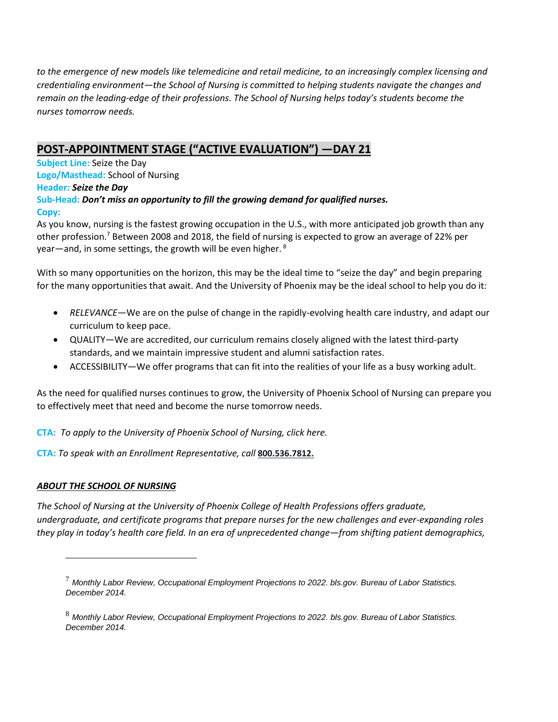*to the emergence of new models like telemedicine and retail medicine, to an increasingly complex licensing and credentialing environment—the School of Nursing is committed to helping students navigate the changes and remain on the leading-edge of their professions. The School of Nursing helps today's students become the nurses tomorrow needs.* 

# **POST-APPOINTMENT STAGE ("ACTIVE EVALUATION") —DAY 21**

**Subject Line:** Seize the Day **Logo/Masthead:** School of Nursing **Header:** *Seize the Day* **Sub-Head:** *Don't miss an opportunity to fill the growing demand for qualified nurses.* **Copy:**

As you know, nursing is the fastest growing occupation in the U.S., with more anticipated job growth than any other profession.<sup>7</sup> Between 2008 and 2018, the field of nursing is expected to grow an average of 22% per year—and, in some settings, the growth will be even higher. <sup>8</sup>

With so many opportunities on the horizon, this may be the ideal time to "seize the day" and begin preparing for the many opportunities that await. And the University of Phoenix may be the ideal school to help you do it:

- *RELEVANCE*—We are on the pulse of change in the rapidly-evolving health care industry, and adapt our curriculum to keep pace.
- QUALITY—We are accredited, our curriculum remains closely aligned with the latest third-party standards, and we maintain impressive student and alumni satisfaction rates.
- ACCESSIBILITY—We offer programs that can fit into the realities of your life as a busy working adult.

As the need for qualified nurses continues to grow, the University of Phoenix School of Nursing can prepare you to effectively meet that need and become the nurse tomorrow needs.

**CTA:** *To apply to the University of Phoenix School of Nursing, click here.* 

**CTA:** *To speak with an Enrollment Representative, call* **[800.536.7812.](tel:+18005367812)**

### *ABOUT THE SCHOOL OF NURSING*

 $\overline{a}$ 

*The School of Nursing at the University of Phoenix College of Health Professions offers graduate, undergraduate, and certificate programs that prepare nurses for the new challenges and ever-expanding roles they play in today's health care field. In an era of unprecedented change—from shifting patient demographics,* 

<sup>7</sup> *Monthly Labor Review, Occupational Employment Projections to 2022. bls.gov. Bureau of Labor Statistics. December 2014.*

<sup>8</sup> *Monthly Labor Review, Occupational Employment Projections to 2022. bls.gov. Bureau of Labor Statistics. December 2014.*